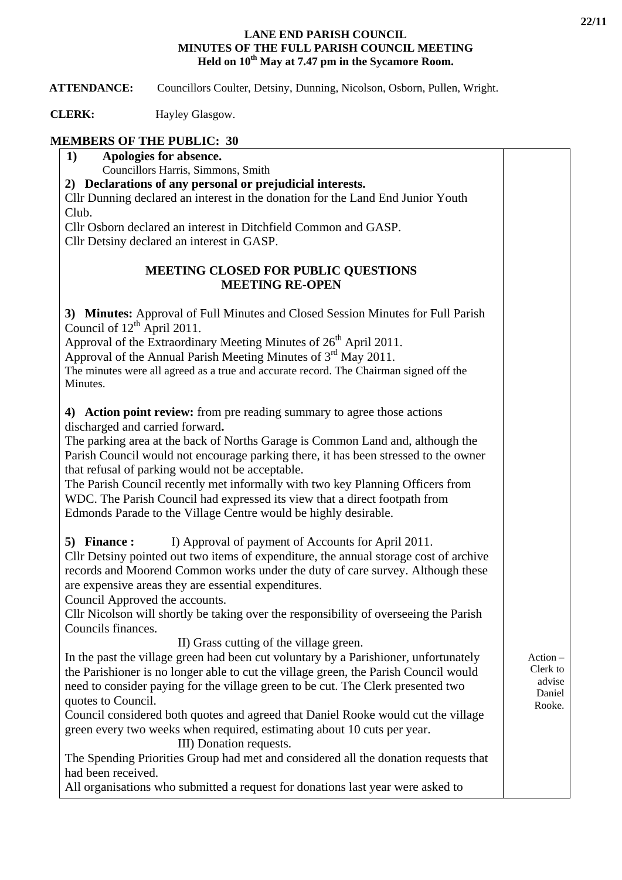#### **LANE END PARISH COUNCIL MINUTES OF THE FULL PARISH COUNCIL MEETING Held on 10th May at 7.47 pm in the Sycamore Room.**

 **ATTENDANCE:** Councillors Coulter, Detsiny, Dunning, Nicolson, Osborn, Pullen, Wright.

**CLERK:** Hayley Glasgow.

## **MEMBERS OF THE PUBLIC: 30**

**1) Apologies for absence.**  Councillors Harris, Simmons, Smith

**2) Declarations of any personal or prejudicial interests.** 

Cllr Dunning declared an interest in the donation for the Land End Junior Youth Club.

Cllr Osborn declared an interest in Ditchfield Common and GASP. Cllr Detsiny declared an interest in GASP.

## **MEETING CLOSED FOR PUBLIC QUESTIONS MEETING RE-OPEN**

**3) Minutes:** Approval of Full Minutes and Closed Session Minutes for Full Parish Council of  $12^{th}$  April 2011.

Approval of the Extraordinary Meeting Minutes of  $26<sup>th</sup>$  April 2011.

Approval of the Annual Parish Meeting Minutes of  $3<sup>rd</sup>$  May 2011.

The minutes were all agreed as a true and accurate record. The Chairman signed off the Minutes.

**4) Action point review:** from pre reading summary to agree those actions discharged and carried forward**.** 

The parking area at the back of Norths Garage is Common Land and, although the Parish Council would not encourage parking there, it has been stressed to the owner that refusal of parking would not be acceptable.

The Parish Council recently met informally with two key Planning Officers from WDC. The Parish Council had expressed its view that a direct footpath from Edmonds Parade to the Village Centre would be highly desirable.

**5) Finance :** I) Approval of payment of Accounts for April 2011.

Cllr Detsiny pointed out two items of expenditure, the annual storage cost of archive records and Moorend Common works under the duty of care survey. Although these are expensive areas they are essential expenditures.

Council Approved the accounts.

Cllr Nicolson will shortly be taking over the responsibility of overseeing the Parish Councils finances.

II) Grass cutting of the village green.

In the past the village green had been cut voluntary by a Parishioner, unfortunately the Parishioner is no longer able to cut the village green, the Parish Council would need to consider paying for the village green to be cut. The Clerk presented two quotes to Council.

Council considered both quotes and agreed that Daniel Rooke would cut the village green every two weeks when required, estimating about 10 cuts per year.

III) Donation requests.

The Spending Priorities Group had met and considered all the donation requests that had been received.

All organisations who submitted a request for donations last year were asked to

Action – Clerk to advise Daniel Rooke.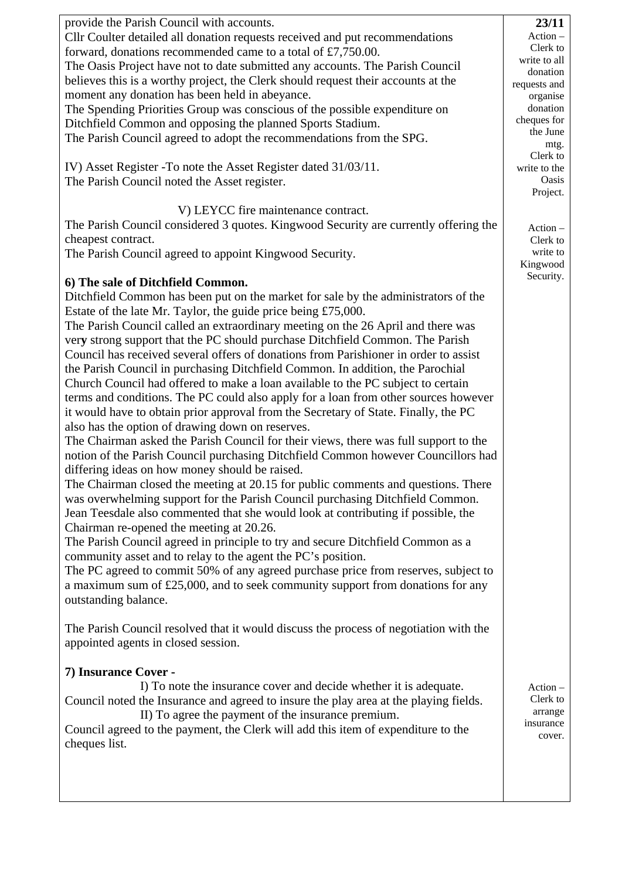| provide the Parish Council with accounts.                                             | 23/11        |
|---------------------------------------------------------------------------------------|--------------|
|                                                                                       | $Action -$   |
| Cllr Coulter detailed all donation requests received and put recommendations          | Clerk to     |
| forward, donations recommended came to a total of £7,750.00.                          | write to all |
| The Oasis Project have not to date submitted any accounts. The Parish Council         | donation     |
| believes this is a worthy project, the Clerk should request their accounts at the     | requests and |
| moment any donation has been held in abeyance.                                        | organise     |
| The Spending Priorities Group was conscious of the possible expenditure on            | donation     |
| Ditchfield Common and opposing the planned Sports Stadium.                            | cheques for  |
| The Parish Council agreed to adopt the recommendations from the SPG.                  | the June     |
|                                                                                       | mtg.         |
|                                                                                       | Clerk to     |
| IV) Asset Register - To note the Asset Register dated 31/03/11.                       | write to the |
| The Parish Council noted the Asset register.                                          | Oasis        |
|                                                                                       | Project.     |
| V) LEYCC fire maintenance contract.                                                   |              |
| The Parish Council considered 3 quotes. Kingwood Security are currently offering the  | $Action -$   |
| cheapest contract.                                                                    | Clerk to     |
| The Parish Council agreed to appoint Kingwood Security.                               | write to     |
|                                                                                       | Kingwood     |
|                                                                                       | Security.    |
| 6) The sale of Ditchfield Common.                                                     |              |
| Ditchfield Common has been put on the market for sale by the administrators of the    |              |
| Estate of the late Mr. Taylor, the guide price being £75,000.                         |              |
| The Parish Council called an extraordinary meeting on the 26 April and there was      |              |
| very strong support that the PC should purchase Ditchfield Common. The Parish         |              |
| Council has received several offers of donations from Parishioner in order to assist  |              |
|                                                                                       |              |
| the Parish Council in purchasing Ditchfield Common. In addition, the Parochial        |              |
| Church Council had offered to make a loan available to the PC subject to certain      |              |
| terms and conditions. The PC could also apply for a loan from other sources however   |              |
| it would have to obtain prior approval from the Secretary of State. Finally, the PC   |              |
| also has the option of drawing down on reserves.                                      |              |
| The Chairman asked the Parish Council for their views, there was full support to the  |              |
| notion of the Parish Council purchasing Ditchfield Common however Councillors had     |              |
| differing ideas on how money should be raised.                                        |              |
| The Chairman closed the meeting at 20.15 for public comments and questions. There     |              |
|                                                                                       |              |
| was overwhelming support for the Parish Council purchasing Ditchfield Common.         |              |
| Jean Teesdale also commented that she would look at contributing if possible, the     |              |
| Chairman re-opened the meeting at 20.26.                                              |              |
| The Parish Council agreed in principle to try and secure Ditchfield Common as a       |              |
| community asset and to relay to the agent the PC's position.                          |              |
| The PC agreed to commit 50% of any agreed purchase price from reserves, subject to    |              |
| a maximum sum of $£25,000$ , and to seek community support from donations for any     |              |
| outstanding balance.                                                                  |              |
|                                                                                       |              |
|                                                                                       |              |
| The Parish Council resolved that it would discuss the process of negotiation with the |              |
| appointed agents in closed session.                                                   |              |
|                                                                                       |              |
| 7) Insurance Cover -                                                                  |              |
| I) To note the insurance cover and decide whether it is adequate.                     | $Action -$   |
| Council noted the Insurance and agreed to insure the play area at the playing fields. | Clerk to     |
| II) To agree the payment of the insurance premium.                                    | arrange      |
| Council agreed to the payment, the Clerk will add this item of expenditure to the     | insurance    |
| cheques list.                                                                         | cover.       |
|                                                                                       |              |
|                                                                                       |              |
|                                                                                       |              |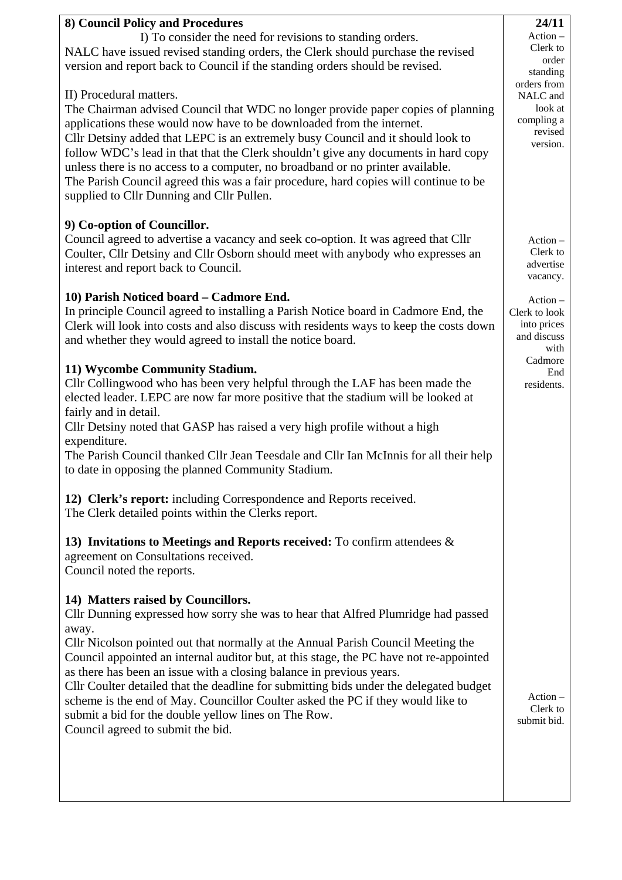| 8) Council Policy and Procedures                                                                                                                                                                                                                                                                                                                                                                                                                                                                                                                                                                                                                                 | 24/11                                                                                                                  |
|------------------------------------------------------------------------------------------------------------------------------------------------------------------------------------------------------------------------------------------------------------------------------------------------------------------------------------------------------------------------------------------------------------------------------------------------------------------------------------------------------------------------------------------------------------------------------------------------------------------------------------------------------------------|------------------------------------------------------------------------------------------------------------------------|
| I) To consider the need for revisions to standing orders.<br>NALC have issued revised standing orders, the Clerk should purchase the revised<br>version and report back to Council if the standing orders should be revised.                                                                                                                                                                                                                                                                                                                                                                                                                                     | $Action -$<br>Clerk to<br>order<br>standing<br>orders from<br>NALC and<br>look at<br>compling a<br>revised<br>version. |
| II) Procedural matters.<br>The Chairman advised Council that WDC no longer provide paper copies of planning<br>applications these would now have to be downloaded from the internet.<br>Cllr Detsiny added that LEPC is an extremely busy Council and it should look to<br>follow WDC's lead in that that the Clerk shouldn't give any documents in hard copy<br>unless there is no access to a computer, no broadband or no printer available.<br>The Parish Council agreed this was a fair procedure, hard copies will continue to be<br>supplied to Cllr Dunning and Cllr Pullen.                                                                             |                                                                                                                        |
| 9) Co-option of Councillor.<br>Council agreed to advertise a vacancy and seek co-option. It was agreed that Cllr<br>Coulter, Cllr Detsiny and Cllr Osborn should meet with anybody who expresses an<br>interest and report back to Council.                                                                                                                                                                                                                                                                                                                                                                                                                      | $Action -$<br>Clerk to<br>advertise<br>vacancy.                                                                        |
| 10) Parish Noticed board - Cadmore End.<br>In principle Council agreed to installing a Parish Notice board in Cadmore End, the<br>Clerk will look into costs and also discuss with residents ways to keep the costs down<br>and whether they would agreed to install the notice board.                                                                                                                                                                                                                                                                                                                                                                           | $Action -$<br>Clerk to look<br>into prices<br>and discuss<br>with                                                      |
| 11) Wycombe Community Stadium.<br>Cllr Collingwood who has been very helpful through the LAF has been made the<br>elected leader. LEPC are now far more positive that the stadium will be looked at<br>fairly and in detail.<br>Cllr Detsiny noted that GASP has raised a very high profile without a high<br>expenditure.<br>The Parish Council thanked Cllr Jean Teesdale and Cllr Ian McInnis for all their help<br>to date in opposing the planned Community Stadium.                                                                                                                                                                                        | Cadmore<br>End<br>residents.                                                                                           |
| 12) Clerk's report: including Correspondence and Reports received.<br>The Clerk detailed points within the Clerks report.                                                                                                                                                                                                                                                                                                                                                                                                                                                                                                                                        |                                                                                                                        |
| 13) Invitations to Meetings and Reports received: To confirm attendees $\&$<br>agreement on Consultations received.<br>Council noted the reports.                                                                                                                                                                                                                                                                                                                                                                                                                                                                                                                |                                                                                                                        |
| 14) Matters raised by Councillors.<br>Cllr Dunning expressed how sorry she was to hear that Alfred Plumridge had passed<br>away.<br>Cllr Nicolson pointed out that normally at the Annual Parish Council Meeting the<br>Council appointed an internal auditor but, at this stage, the PC have not re-appointed<br>as there has been an issue with a closing balance in previous years.<br>Cllr Coulter detailed that the deadline for submitting bids under the delegated budget<br>scheme is the end of May. Councillor Coulter asked the PC if they would like to<br>submit a bid for the double yellow lines on The Row.<br>Council agreed to submit the bid. | $Action -$<br>Clerk to<br>submit bid.                                                                                  |
|                                                                                                                                                                                                                                                                                                                                                                                                                                                                                                                                                                                                                                                                  |                                                                                                                        |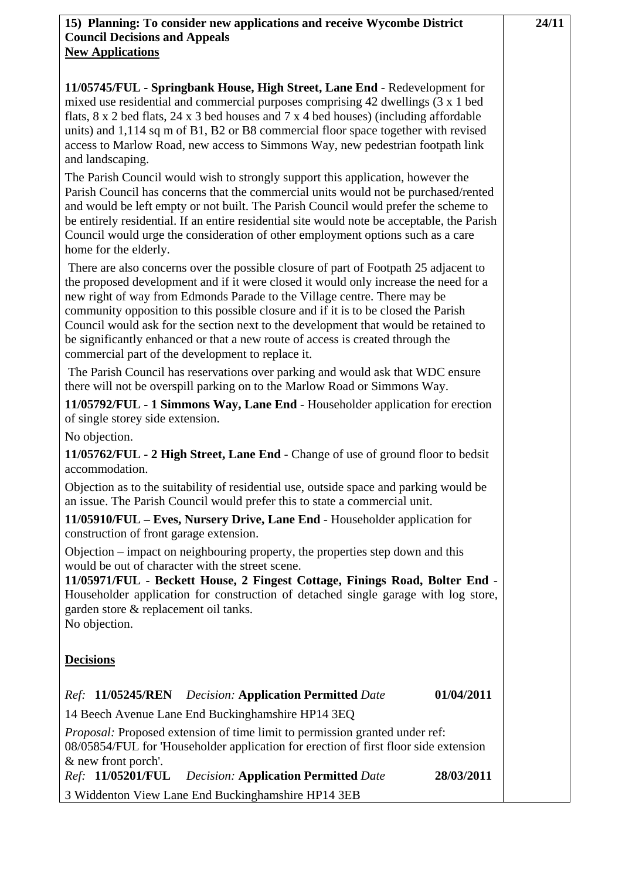**24/11**

### **15) Planning: To consider new applications and receive Wycombe District Council Decisions and Appeals New Applications**

**11/05745/FUL - Springbank House, High Street, Lane End** - Redevelopment for mixed use residential and commercial purposes comprising 42 dwellings (3 x 1 bed flats, 8 x 2 bed flats, 24 x 3 bed houses and 7 x 4 bed houses) (including affordable units) and 1,114 sq m of B1, B2 or B8 commercial floor space together with revised access to Marlow Road, new access to Simmons Way, new pedestrian footpath link and landscaping.

The Parish Council would wish to strongly support this application, however the Parish Council has concerns that the commercial units would not be purchased/rented and would be left empty or not built. The Parish Council would prefer the scheme to be entirely residential. If an entire residential site would note be acceptable, the Parish Council would urge the consideration of other employment options such as a care home for the elderly.

 There are also concerns over the possible closure of part of Footpath 25 adjacent to the proposed development and if it were closed it would only increase the need for a new right of way from Edmonds Parade to the Village centre. There may be community opposition to this possible closure and if it is to be closed the Parish Council would ask for the section next to the development that would be retained to be significantly enhanced or that a new route of access is created through the commercial part of the development to replace it.

 The Parish Council has reservations over parking and would ask that WDC ensure there will not be overspill parking on to the Marlow Road or Simmons Way.

**11/05792/FUL - 1 Simmons Way, Lane End** - Householder application for erection of single storey side extension.

No objection.

**11/05762/FUL - 2 High Street, Lane End** - Change of use of ground floor to bedsit accommodation.

Objection as to the suitability of residential use, outside space and parking would be an issue. The Parish Council would prefer this to state a commercial unit.

**11/05910/FUL – Eves, Nursery Drive, Lane End** - Householder application for construction of front garage extension.

Objection – impact on neighbouring property, the properties step down and this would be out of character with the street scene.

**11/05971/FUL - Beckett House, 2 Fingest Cottage, Finings Road, Bolter End** - Householder application for construction of detached single garage with log store, garden store & replacement oil tanks. No objection.

## **Decisions**

# *Ref:* **11/05245/REN** *Decision:* **Application Permitted** *Date* **01/04/2011**

14 Beech Avenue Lane End Buckinghamshire HP14 3EQ

*Proposal:* Proposed extension of time limit to permission granted under ref: 08/05854/FUL for 'Householder application for erection of first floor side extension & new front porch'.

*Ref:* **11/05201/FUL** *Decision:* **Application Permitted** *Date* **28/03/2011** 

3 Widdenton View Lane End Buckinghamshire HP14 3EB